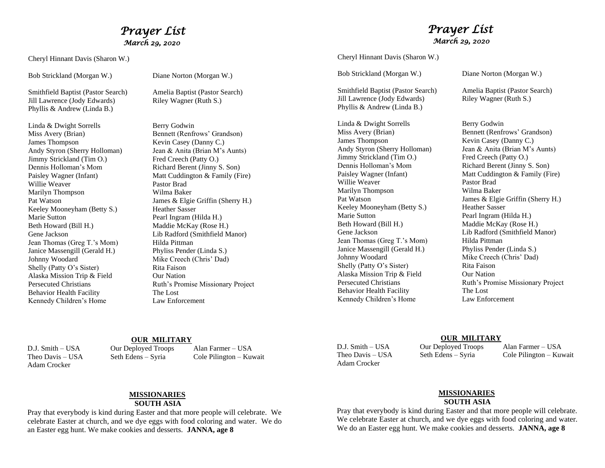## *Prayer List March 29, 2020*

Cheryl Hinnant Davis (Sharon W.)

Bob Strickland (Morgan W.) Diane Norton (Morgan W.)

Smithfield Baptist (Pastor Search) Amelia Baptist (Pastor Search) Jill Lawrence (Jody Edwards) Riley Wagner (Ruth S.) Phyllis & Andrew (Linda B.)

Linda & Dwight Sorrells Berry Godwin Miss Avery (Brian) Bennett (Renfrows' Grandson) James Thompson Kevin Casey (Danny C.) Jimmy Strickland (Tim O.) Fred Creech (Patty O.) Dennis Holloman's Mom<br>
Richard Berent (Jinny S. Son) Willie Weaver **Pastor Brad** Marilyn Thompson Wilma Baker Keeley Mooneyham (Betty S.) Heather Sasser Marie Sutton Pearl Ingram (Hilda H.) Beth Howard (Bill H.) Maddie McKay (Rose H.) Jean Thomas (Greg T.'s Mom) Hilda Pittman Janice Massengill (Gerald H.) Phyliss Pender (Linda S.) Johnny Woodard Mike Creech (Chris' Dad) Shelly (Patty O's Sister) Rita Faison Alaska Mission Trip & Field Our Nation Behavior Health Facility The Lost Kennedy Children's Home Law Enforcement

Andy Styron (Sherry Holloman) Jean & Anita (Brian M's Aunts) Paisley Wagner (Infant) Matt Cuddington & Family (Fire) Pat Watson James & Elgie Griffin (Sherry H.) Gene Jackson Lib Radford (Smithfield Manor) Persecuted Christians Ruth's Promise Missionary Project

### *Prayer List March 29, 2020*

Cheryl Hinnant Davis (Sharon W.)

Smithfield Baptist (Pastor Search) Amelia Baptist (Pastor Search) Jill Lawrence (Jody Edwards) Riley Wagner (Ruth S.) Phyllis & Andrew (Linda B.)

Linda & Dwight Sorrells Berry Godwin Miss Avery (Brian) Bennett (Renfrows' Grandson)<br>James Thompson Bennett (Renfrows' Grandson) Andy Styron (Sherry Holloman) Jean & Anita (Brian M's Aunts) Jimmy Strickland (Tim O.) Fred Creech (Patty O.)<br>
Dennis Holloman's Mom Richard Berent (Jinny ) Willie Weaver **Pastor Brad** Marilyn Thompson Wilma Baker Keeley Mooneyham (Betty S.) Heather Sasser Marie Sutton Pearl Ingram (Hilda H.) Beth Howard (Bill H.) Maddie McKay (Rose H.) Jean Thomas (Greg T.'s Mom) Hilda Pittman Janice Massengill (Gerald H.) Phyliss Pender (Linda S.) Johnny Woodard Mike Creech (Chris' Dad) Shelly (Patty O's Sister) Rita Faison Alaska Mission Trip & Field Our Nation Behavior Health Facility The Lost Kennedy Children's Home Law Enforcement

Bob Strickland (Morgan W.) Diane Norton (Morgan W.)

Kevin Casey (Danny C.) Richard Berent (Jinny S. Son) Paisley Wagner (Infant) Matt Cuddington & Family (Fire) Pat Watson James & Elgie Griffin (Sherry H.) Gene Jackson Lib Radford (Smithfield Manor) Persecuted Christians Ruth's Promise Missionary Project

#### **OUR MILITARY**

Adam Crocker

D.J. Smith – USA Our Deployed Troops Alan Farmer – USA

Theo Davis – USA Seth Edens – Syria Cole Pilington – Kuwait

Adam Crocker

#### **OUR MILITARY**

D.J. Smith – USA Our Deployed Troops Alan Farmer – USA Theo Davis – USA Seth Edens – Syria Cole Pilington – Kuwait

### **MISSIONARIES**

#### **SOUTH ASIA**

Pray that everybody is kind during Easter and that more people will celebrate. We celebrate Easter at church, and we dye eggs with food coloring and water. We do an Easter egg hunt. We make cookies and desserts. **JANNA, age 8**

# **MISSIONARIES**

#### **SOUTH ASIA**

Pray that everybody is kind during Easter and that more people will celebrate. We celebrate Easter at church, and we dye eggs with food coloring and water. We do an Easter egg hunt. We make cookies and desserts. **JANNA, age 8**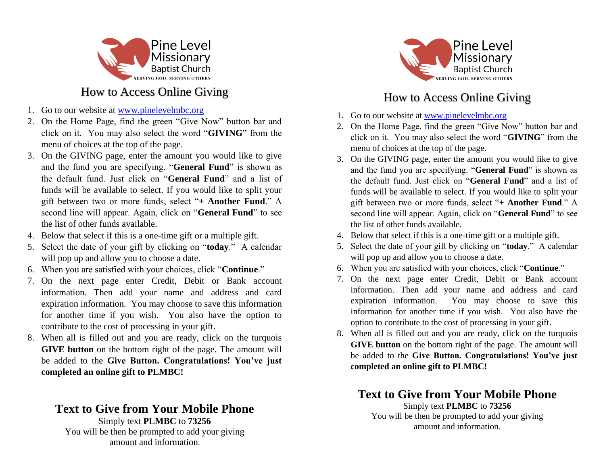

## How to Access Online Giving

- 1. Go to our website at [www.pinelevelmbc.org](http://www.pinelevelmbc.org/)
- 2. On the Home Page, find the green "Give Now" button bar and click on it. You may also select the word "**GIVING**" from the menu of choices at the top of the page.
- 3. On the GIVING page, enter the amount you would like to give and the fund you are specifying. "**General Fund**" is shown as the default fund. Just click on "**General Fund**" and a list of funds will be available to select. If you would like to split your gift between two or more funds, select "**+ Another Fund**." A second line will appear. Again, click on "**General Fund**" to see the list of other funds available.
- 4. Below that select if this is a one-time gift or a multiple gift.
- 5. Select the date of your gift by clicking on "**today**." A calendar will pop up and allow you to choose a date.
- 6. When you are satisfied with your choices, click "**Continue**."
- 7. On the next page enter Credit, Debit or Bank account information. Then add your name and address and card expiration information. You may choose to save this information for another time if you wish. You also have the option to contribute to the cost of processing in your gift.
- 8. When all is filled out and you are ready, click on the turquois **GIVE button** on the bottom right of the page. The amount will be added to the **Give Button. Congratulations! You've just completed an online gift to PLMBC!**

### **Text to Give from Your Mobile Phone** Simply text **PLMBC** to **73256**

You will be then be prompted to add your giving amount and information.



# How to Access Online Giving

- 1. Go to our website at [www.pinelevelmbc.org](http://www.pinelevelmbc.org/)
- 2. On the Home Page, find the green "Give Now" button bar and click on it. You may also select the word "**GIVING**" from the menu of choices at the top of the page.
- 3. On the GIVING page, enter the amount you would like to give and the fund you are specifying. "**General Fund**" is shown as the default fund. Just click on "**General Fund**" and a list of funds will be available to select. If you would like to split your gift between two or more funds, select "**+ Another Fund**." A second line will appear. Again, click on "**General Fund**" to see the list of other funds available.
- 4. Below that select if this is a one-time gift or a multiple gift.
- 5. Select the date of your gift by clicking on "**today**." A calendar will pop up and allow you to choose a date.
- 6. When you are satisfied with your choices, click "**Continue**."
- 7. On the next page enter Credit, Debit or Bank account information. Then add your name and address and card expiration information. You may choose to save this information for another time if you wish. You also have the option to contribute to the cost of processing in your gift.
- 8. When all is filled out and you are ready, click on the turquois **GIVE button** on the bottom right of the page. The amount will be added to the **Give Button. Congratulations! You've just completed an online gift to PLMBC!**

## **Text to Give from Your Mobile Phone**

Simply text **PLMBC** to **73256** You will be then be prompted to add your giving amount and information.